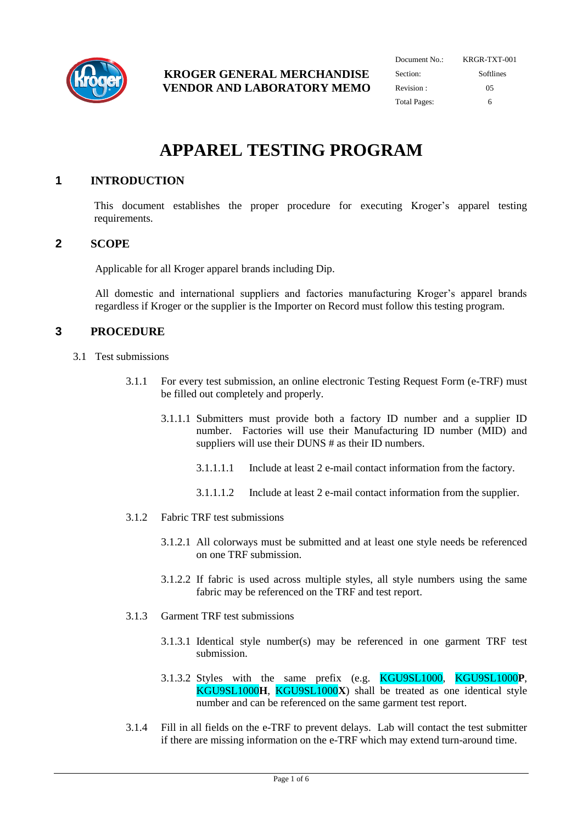

| Document No.:       | KRGR-TXT-001 |
|---------------------|--------------|
| Section:            | Softlines    |
| Revision:           | 05           |
| <b>Total Pages:</b> | 6            |

# **APPAREL TESTING PROGRAM**

# **1 INTRODUCTION**

This document establishes the proper procedure for executing Kroger's apparel testing requirements.

#### **2 SCOPE**

Applicable for all Kroger apparel brands including Dip.

All domestic and international suppliers and factories manufacturing Kroger's apparel brands regardless if Kroger or the supplier is the Importer on Record must follow this testing program.

## **3 PROCEDURE**

- 3.1 Test submissions
	- 3.1.1 For every test submission, an online electronic Testing Request Form (e-TRF) must be filled out completely and properly.
		- 3.1.1.1 Submitters must provide both a factory ID number and a supplier ID number. Factories will use their Manufacturing ID number (MID) and suppliers will use their DUNS # as their ID numbers.
			- 3.1.1.1.1 Include at least 2 e-mail contact information from the factory.
			- 3.1.1.1.2 Include at least 2 e-mail contact information from the supplier.
	- 3.1.2 Fabric TRF test submissions
		- 3.1.2.1 All colorways must be submitted and at least one style needs be referenced on one TRF submission.
		- 3.1.2.2 If fabric is used across multiple styles, all style numbers using the same fabric may be referenced on the TRF and test report.
	- 3.1.3 Garment TRF test submissions
		- 3.1.3.1 Identical style number(s) may be referenced in one garment TRF test submission.
		- 3.1.3.2 Styles with the same prefix (e.g. KGU9SL1000, KGU9SL1000**P**, KGU9SL1000**H**, KGU9SL1000**X**) shall be treated as one identical style number and can be referenced on the same garment test report.
	- 3.1.4 Fill in all fields on the e-TRF to prevent delays. Lab will contact the test submitter if there are missing information on the e-TRF which may extend turn-around time.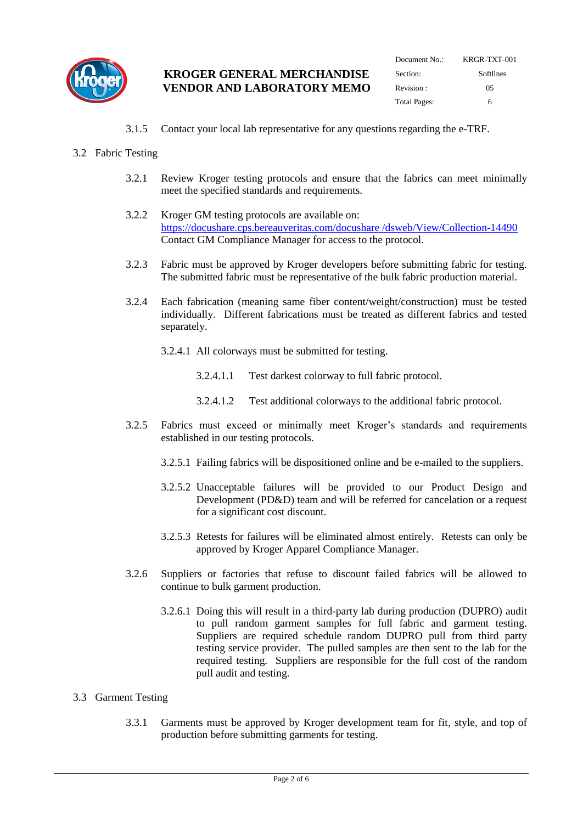

| Document $No:$ | KRGR-TXT-001 |
|----------------|--------------|
| Section:       | Softlines    |
| Revision:      | 05           |
| Total Pages:   | 6            |

3.1.5 Contact your local lab representative for any questions regarding the e-TRF.

#### 3.2 Fabric Testing

- 3.2.1 Review Kroger testing protocols and ensure that the fabrics can meet minimally meet the specified standards and requirements.
- 3.2.2 Kroger GM testing protocols are available on: [https://docushare.cps.bereauveritas.com/docushare /dsweb/View/Collection-14490](https://docushare.cps.bereauveritas.com/docushare%20/dsweb/View/Collection-14490) Contact GM Compliance Manager for access to the protocol.
- 3.2.3 Fabric must be approved by Kroger developers before submitting fabric for testing. The submitted fabric must be representative of the bulk fabric production material.
- 3.2.4 Each fabrication (meaning same fiber content/weight/construction) must be tested individually. Different fabrications must be treated as different fabrics and tested separately.
	- 3.2.4.1 All colorways must be submitted for testing.
		- 3.2.4.1.1 Test darkest colorway to full fabric protocol.
		- 3.2.4.1.2 Test additional colorways to the additional fabric protocol.
- 3.2.5 Fabrics must exceed or minimally meet Kroger's standards and requirements established in our testing protocols.
	- 3.2.5.1 Failing fabrics will be dispositioned online and be e-mailed to the suppliers.
	- 3.2.5.2 Unacceptable failures will be provided to our Product Design and Development (PD&D) team and will be referred for cancelation or a request for a significant cost discount.
	- 3.2.5.3 Retests for failures will be eliminated almost entirely. Retests can only be approved by Kroger Apparel Compliance Manager.
- 3.2.6 Suppliers or factories that refuse to discount failed fabrics will be allowed to continue to bulk garment production.
	- 3.2.6.1 Doing this will result in a third-party lab during production (DUPRO) audit to pull random garment samples for full fabric and garment testing. Suppliers are required schedule random DUPRO pull from third party testing service provider. The pulled samples are then sent to the lab for the required testing. Suppliers are responsible for the full cost of the random pull audit and testing.

## 3.3 Garment Testing

3.3.1 Garments must be approved by Kroger development team for fit, style, and top of production before submitting garments for testing.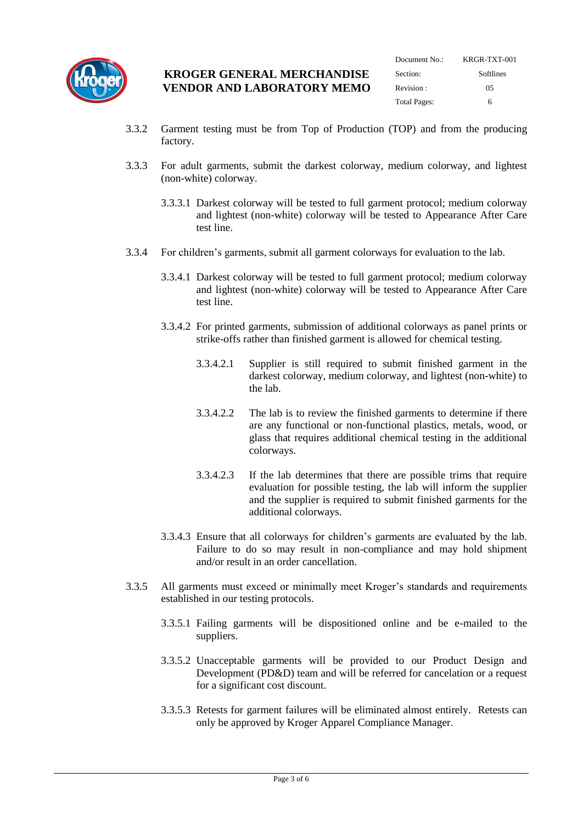

| Document No.:       | KRGR-TXT-001 |
|---------------------|--------------|
| Section:            | Softlines    |
| Revision:           | 05           |
| <b>Total Pages:</b> | h            |

- 3.3.2 Garment testing must be from Top of Production (TOP) and from the producing factory.
- 3.3.3 For adult garments, submit the darkest colorway, medium colorway, and lightest (non-white) colorway.
	- 3.3.3.1 Darkest colorway will be tested to full garment protocol; medium colorway and lightest (non-white) colorway will be tested to Appearance After Care test line.
- 3.3.4 For children's garments, submit all garment colorways for evaluation to the lab.
	- 3.3.4.1 Darkest colorway will be tested to full garment protocol; medium colorway and lightest (non-white) colorway will be tested to Appearance After Care test line.
	- 3.3.4.2 For printed garments, submission of additional colorways as panel prints or strike-offs rather than finished garment is allowed for chemical testing.
		- 3.3.4.2.1 Supplier is still required to submit finished garment in the darkest colorway, medium colorway, and lightest (non-white) to the lab.
		- 3.3.4.2.2 The lab is to review the finished garments to determine if there are any functional or non-functional plastics, metals, wood, or glass that requires additional chemical testing in the additional colorways.
		- 3.3.4.2.3 If the lab determines that there are possible trims that require evaluation for possible testing, the lab will inform the supplier and the supplier is required to submit finished garments for the additional colorways.
	- 3.3.4.3 Ensure that all colorways for children's garments are evaluated by the lab. Failure to do so may result in non-compliance and may hold shipment and/or result in an order cancellation.
- 3.3.5 All garments must exceed or minimally meet Kroger's standards and requirements established in our testing protocols.
	- 3.3.5.1 Failing garments will be dispositioned online and be e-mailed to the suppliers.
	- 3.3.5.2 Unacceptable garments will be provided to our Product Design and Development (PD&D) team and will be referred for cancelation or a request for a significant cost discount.
	- 3.3.5.3 Retests for garment failures will be eliminated almost entirely. Retests can only be approved by Kroger Apparel Compliance Manager.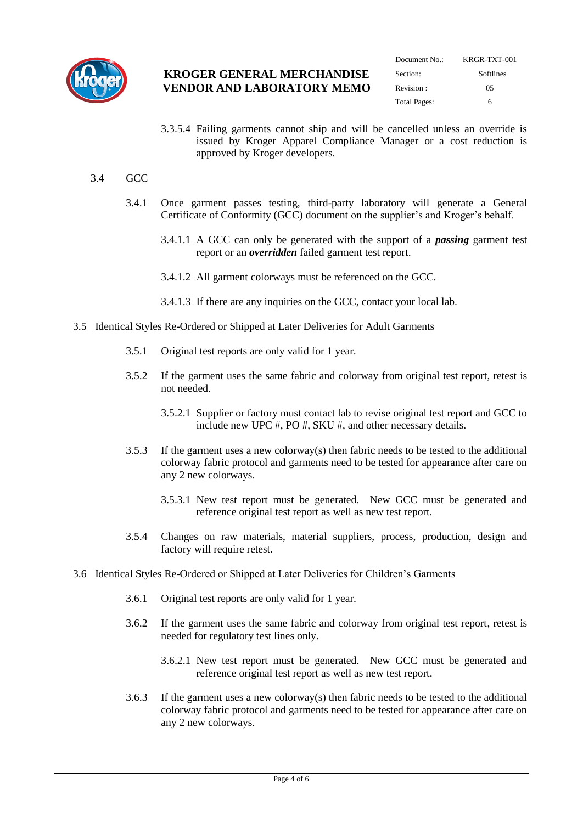

| Document $No:$      | KRGR-TXT-001 |
|---------------------|--------------|
| Section:            | Softlines    |
| Revision:           | 05           |
| <b>Total Pages:</b> | h            |

3.3.5.4 Failing garments cannot ship and will be cancelled unless an override is issued by Kroger Apparel Compliance Manager or a cost reduction is approved by Kroger developers.

#### 3.4 GCC

- 3.4.1 Once garment passes testing, third-party laboratory will generate a General Certificate of Conformity (GCC) document on the supplier's and Kroger's behalf.
	- 3.4.1.1 A GCC can only be generated with the support of a *passing* garment test report or an *overridden* failed garment test report.
	- 3.4.1.2 All garment colorways must be referenced on the GCC.
	- 3.4.1.3 If there are any inquiries on the GCC, contact your local lab.
- 3.5 Identical Styles Re-Ordered or Shipped at Later Deliveries for Adult Garments
	- 3.5.1 Original test reports are only valid for 1 year.
	- 3.5.2 If the garment uses the same fabric and colorway from original test report, retest is not needed.
		- 3.5.2.1 Supplier or factory must contact lab to revise original test report and GCC to include new UPC #, PO #, SKU #, and other necessary details.
	- 3.5.3 If the garment uses a new colorway(s) then fabric needs to be tested to the additional colorway fabric protocol and garments need to be tested for appearance after care on any 2 new colorways.
		- 3.5.3.1 New test report must be generated. New GCC must be generated and reference original test report as well as new test report.
	- 3.5.4 Changes on raw materials, material suppliers, process, production, design and factory will require retest.
- 3.6 Identical Styles Re-Ordered or Shipped at Later Deliveries for Children's Garments
	- 3.6.1 Original test reports are only valid for 1 year.
	- 3.6.2 If the garment uses the same fabric and colorway from original test report, retest is needed for regulatory test lines only.
		- 3.6.2.1 New test report must be generated. New GCC must be generated and reference original test report as well as new test report.
	- 3.6.3 If the garment uses a new colorway(s) then fabric needs to be tested to the additional colorway fabric protocol and garments need to be tested for appearance after care on any 2 new colorways.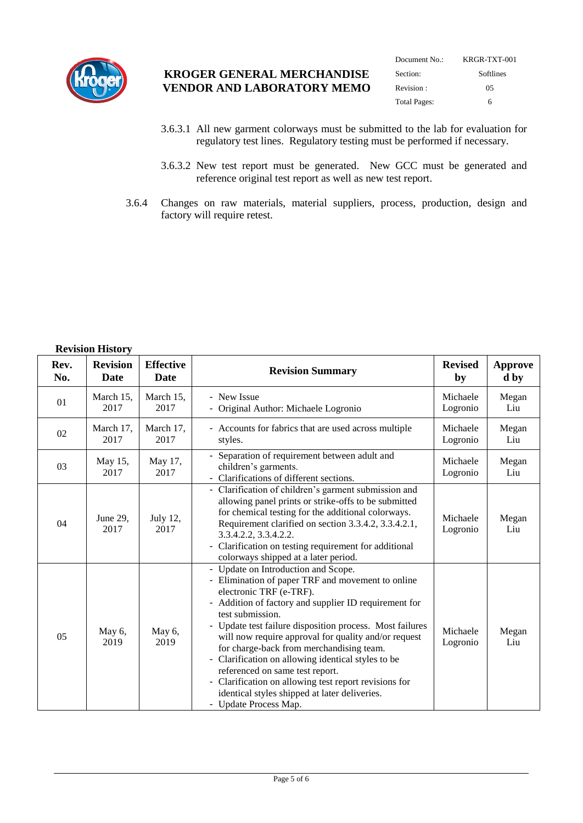

| Document No.:       | KRGR-TXT-001 |
|---------------------|--------------|
| Section:            | Softlines    |
| Revision:           | 05           |
| <b>Total Pages:</b> | h            |

- 3.6.3.1 All new garment colorways must be submitted to the lab for evaluation for regulatory test lines. Regulatory testing must be performed if necessary.
- 3.6.3.2 New test report must be generated. New GCC must be generated and reference original test report as well as new test report.
- 3.6.4 Changes on raw materials, material suppliers, process, production, design and factory will require retest.

# **Revision History**

| <b>INCYBIUIL LIIBUU (</b> |                                |                                 |                                                                                                                                                                                                                                                                                                                                                                                                                                                                                                                                                                                             |                      |                        |
|---------------------------|--------------------------------|---------------------------------|---------------------------------------------------------------------------------------------------------------------------------------------------------------------------------------------------------------------------------------------------------------------------------------------------------------------------------------------------------------------------------------------------------------------------------------------------------------------------------------------------------------------------------------------------------------------------------------------|----------------------|------------------------|
| Rev.<br>No.               | <b>Revision</b><br><b>Date</b> | <b>Effective</b><br><b>Date</b> | <b>Revision Summary</b>                                                                                                                                                                                                                                                                                                                                                                                                                                                                                                                                                                     | <b>Revised</b><br>by | <b>Approve</b><br>d by |
| 01                        | March 15,<br>2017              | March 15,<br>2017               | - New Issue<br>- Original Author: Michaele Logronio                                                                                                                                                                                                                                                                                                                                                                                                                                                                                                                                         | Michaele<br>Logronio | Megan<br>Liu           |
| 02                        | March 17,<br>2017              | March 17,<br>2017               | - Accounts for fabrics that are used across multiple<br>styles.                                                                                                                                                                                                                                                                                                                                                                                                                                                                                                                             | Michaele<br>Logronio | Megan<br>Liu           |
| 03                        | May 15,<br>2017                | May 17,<br>2017                 | - Separation of requirement between adult and<br>children's garments.<br>Clarifications of different sections.                                                                                                                                                                                                                                                                                                                                                                                                                                                                              | Michaele<br>Logronio | Megan<br>Liu           |
| 04                        | June 29,<br>2017               | July 12,<br>2017                | - Clarification of children's garment submission and<br>allowing panel prints or strike-offs to be submitted<br>for chemical testing for the additional colorways.<br>Requirement clarified on section 3.3.4.2, 3.3.4.2.1,<br>3.3.4.2.2, 3.3.4.2.2.<br>Clarification on testing requirement for additional<br>colorways shipped at a later period.                                                                                                                                                                                                                                          | Michaele<br>Logronio | Megan<br>Liu           |
| 05                        | May $6$ ,<br>2019              | May 6,<br>2019                  | - Update on Introduction and Scope.<br>- Elimination of paper TRF and movement to online<br>electronic TRF (e-TRF).<br>Addition of factory and supplier ID requirement for<br>test submission.<br>- Update test failure disposition process. Most failures<br>will now require approval for quality and/or request<br>for charge-back from merchandising team.<br>Clarification on allowing identical styles to be<br>-<br>referenced on same test report.<br>Clarification on allowing test report revisions for<br>identical styles shipped at later deliveries.<br>- Update Process Map. | Michaele<br>Logronio | Megan<br>Liu           |